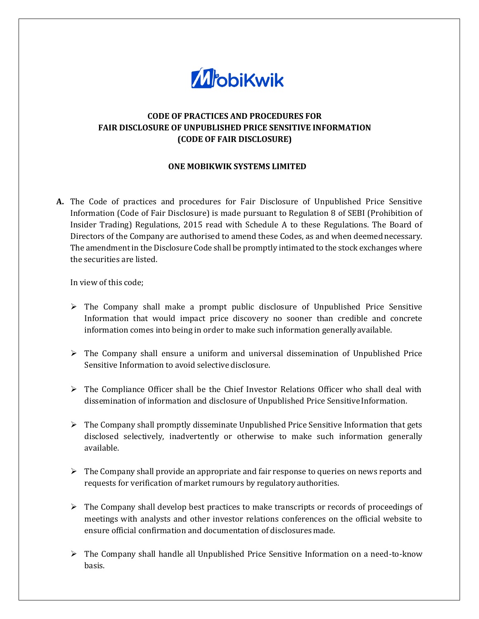

## **CODE OF PRACTICES AND PROCEDURES FOR FAIR DISCLOSURE OF UNPUBLISHED PRICE SENSITIVE INFORMATION (CODE OF FAIR DISCLOSURE)**

## **ONE MOBIKWIK SYSTEMS LIMITED**

**A.** The Code of practices and procedures for Fair Disclosure of Unpublished Price Sensitive Information (Code of Fair Disclosure) is made pursuant to Regulation 8 of SEBI (Prohibition of Insider Trading) Regulations, 2015 read with Schedule A to these Regulations. The Board of Directors of the Company are authorised to amend these Codes, as and when deemed necessary. The amendment in the Disclosure Code shall be promptly intimated to the stock exchanges where the securities are listed.

In view of this code;

- $\triangleright$  The Company shall make a prompt public disclosure of Unpublished Price Sensitive Information that would impact price discovery no sooner than credible and concrete information comes into being in order to make such information generally available.
- $\triangleright$  The Company shall ensure a uniform and universal dissemination of Unpublished Price Sensitive Information to avoid selective disclosure.
- $\triangleright$  The Compliance Officer shall be the Chief Investor Relations Officer who shall deal with dissemination of information and disclosure of Unpublished Price Sensitive Information.
- $\triangleright$  The Company shall promptly disseminate Unpublished Price Sensitive Information that gets disclosed selectively, inadvertently or otherwise to make such information generally available.
- $\triangleright$  The Company shall provide an appropriate and fair response to queries on news reports and requests for verification of market rumours by regulatory authorities.
- $\triangleright$  The Company shall develop best practices to make transcripts or records of proceedings of meetings with analysts and other investor relations conferences on the official website to ensure official confirmation and documentation of disclosuresmade.
- ➢ The Company shall handle all Unpublished Price Sensitive Information on a need-to-know basis.